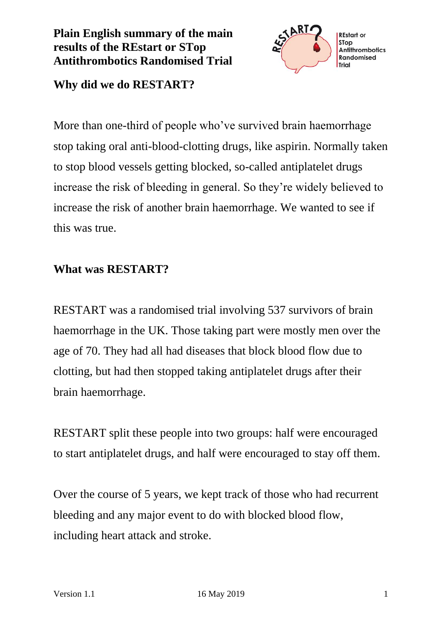# **Plain English summary of the main results of the REstart or STop Antithrombotics Randomised Trial**



#### **Why did we do RESTART?**

More than one-third of people who've survived brain haemorrhage stop taking oral anti-blood-clotting drugs, like aspirin. Normally taken to stop blood vessels getting blocked, so-called antiplatelet drugs increase the risk of bleeding in general. So they're widely believed to increase the risk of another brain haemorrhage. We wanted to see if this was true.

### **What was RESTART?**

RESTART was a randomised trial involving 537 survivors of brain haemorrhage in the UK. Those taking part were mostly men over the age of 70. They had all had diseases that block blood flow due to clotting, but had then stopped taking antiplatelet drugs after their brain haemorrhage.

RESTART split these people into two groups: half were encouraged to start antiplatelet drugs, and half were encouraged to stay off them.

Over the course of 5 years, we kept track of those who had recurrent bleeding and any major event to do with blocked blood flow, including heart attack and stroke.